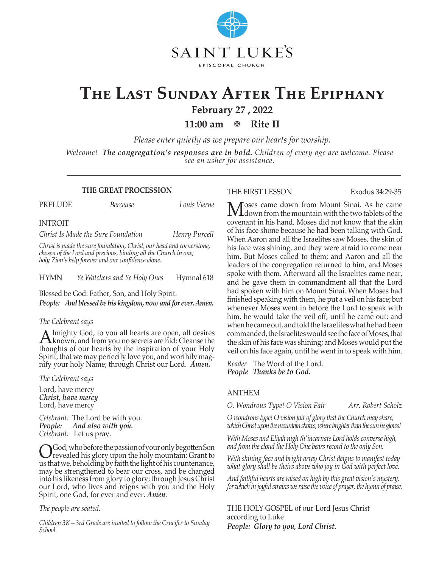

# **The Last Sunday After The Epiphany**

**February 27 , 2022** 

**11:00 am** X **Rite II**

*Please enter quietly as we prepare our hearts for worship.*

*Welcome! The congregation's responses are in bold. Children of every age are welcome. Please see an usher for assistance.*

**THE GREAT PROCESSION** 

PRELUDE *Berceuse Louis Vierne*

INTROIT

*Christ Is Made the Sure Foundation Henry Purcell* 

*Christ is made the sure foundation, Christ, our head and cornerstone, chosen of the Lord and precious, binding all the Church in one; holy Zion's help forever and our confidence alone.*

HYMN *Ye Watchers and Ye Holy Ones* Hymnal 618

Blessed be God: Father, Son, and Holy Spirit. *People: And blessed be his kingdom, now and for ever. Amen.*

# *The Celebrant says*

A lmighty God, to you all hearts are open, all desires<br>
known, and from you no secrets are hid: Cleanse the thoughts of our hearts by the inspiration of your Holy Spirit, that we may perfectly love you, and worthily magnify your holy Name; through Christ our Lord. *Amen.*

*The Celebrant says*

Lord, have mercy *Christ, have mercy* Lord, have mercy

*Celebrant:* The Lord be with you. *People: And also with you. Celebrant:* Let us pray.

O God, who before the passion of your only begotten Son<br>revealed his glory upon the holy mountain: Grant to us that we, beholding by faith the light of his countenance, may be strengthened to bear our cross, and be changed into his likeness from glory to glory; through Jesus Christ our Lord, who lives and reigns with you and the Holy Spirit, one God, for ever and ever. *Amen*.

*The people are seated.* 

*Children 3K – 3rd Grade are invited to follow the Crucifer to Sunday School.*

THE FIRST LESSON Exodus 34:29-35

Moses came down from Mount Sinai. As he came down from the mountain with the two tablets of the covenant in his hand, Moses did not know that the skin of his face shone because he had been talking with God. When Aaron and all the Israelites saw Moses, the skin of his face was shining, and they were afraid to come near him. But Moses called to them; and Aaron and all the leaders of the congregation returned to him, and Moses spoke with them. Afterward all the Israelites came near, and he gave them in commandment all that the Lord had spoken with him on Mount Sinai. When Moses had finished speaking with them, he put a veil on his face; but whenever Moses went in before the Lord to speak with him, he would take the veil off, until he came out; and when he came out, and told the Israelites what he had been commanded, the Israelites would see the face of Moses, that the skin of his face was shining; and Moses would put the veil on his face again, until he went in to speak with him.

*Reader* The Word of the Lord. *People Thanks be to God.*

# ANTHEM

*O, Wondrous Type! O Vision Fair Arr. Robert Scholz*

*O wondrous type! O vision fair of glory that the Church may share, which Christ upon the mountain shows, where brighter than the sun he glows!*

*With Moses and Elijah nigh th'incarnate Lord holds converse high, and from the cloud the Holy One bears record to the only Son.*

*With shining face and bright array Christ deigns to manifest today what glory shall be theirs above who joy in God with perfect love.*

*And faithful hearts are raised on high by this great vision's mystery, for which in joyful strains we raise the voice of prayer, the hymn of praise.*

THE HOLY GOSPEL of our Lord Jesus Christ according to Luke *People: Glory to you, Lord Christ.*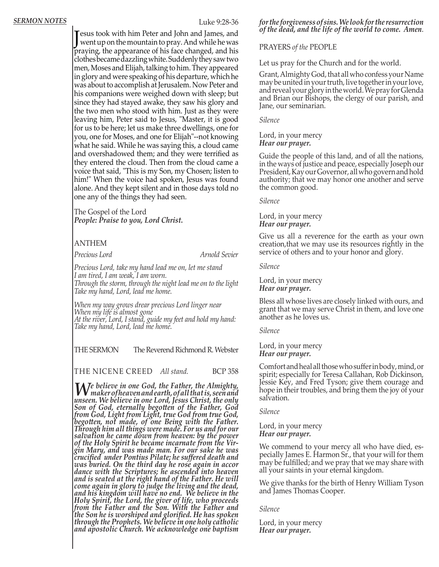#### Luke 9:28-36

J went up on the mountain to pray. And while he was **T**esus took with him Peter and John and James, and praying, the appearance of his face changed, and his clothes became dazzling white. Suddenly they saw two men, Moses and Elijah, talking to him. They appeared in glory and were speaking of his departure, which he was about to accomplish at Jerusalem. Now Peter and his companions were weighed down with sleep; but since they had stayed awake, they saw his glory and the two men who stood with him. Just as they were leaving him, Peter said to Jesus, "Master, it is good for us to be here; let us make three dwellings, one for you, one for Moses, and one for Elijah"--not knowing what he said. While he was saying this, a cloud came and overshadowed them; and they were terrified as they entered the cloud. Then from the cloud came a voice that said, "This is my Son, my Chosen; listen to him!" When the voice had spoken, Jesus was found alone. And they kept silent and in those days told no one any of the things they had seen.

The Gospel of the Lord *People: Praise to you, Lord Christ.*

### ANTHEM

*Precious Lord Arnold Sevier*

*Precious Lord, take my hand lead me on, let me stand I am tired, I am weak, I am worn. Through the storm, through the night lead me on to the light Take my hand, Lord, lead me home.*

*When my way grows drear precious Lord linger near When my life is almost gone At the river, Lord, I stand, guide my feet and hold my hand: Take my hand, Lord, lead me home.*

THE SERMON The Reverend Richmond R. Webster

THE NICENE CREED All stand. BCP 358

*We believe in one God, the Father, the Almighty, maker of heaven and earth, of all that is, seen and unseen. We believe in one Lord, Jesus Christ, the only Son of God, eternally begotten of the Father, God from God, Light from Light, true God from true God, begotten, not made, of one Being with the Father. Through him all things were made. For us and for our salvation he came down from heaven: by the power of the Holy Spirit he became incarnate from the Virgin Mary, and was made man. For our sake he was crucified under Pontius Pilate; he suffered death and was buried. On the third day he rose again in accor dance with the Scriptures; he ascended into heaven and is seated at the right hand of the Father. He will come again in glory to judge the living and the dead, and his kingdom will have no end. We believe in the Holy Spirit, the Lord, the giver of life, who proceeds from the Father and the Son. With the Father and the Son he is worshiped and glorified. He has spoken through the Prophets. We believe in one holy catholic and apostolic Church. We acknowledge one baptism* 

#### *for the forgiveness of sins. We look for the resurrection of the dead, and the life of the world to come. Amen*.

## PRAYERS *of the* PEOPLE

Let us pray for the Church and for the world.

Grant, Almighty God, that all who confess your Name may be united in your truth, live together in your love, and reveal your glory in the world. We pray for Glenda and Brian our Bishops, the clergy of our parish, and Jane, our seminarian.

*Silence*

#### Lord, in your mercy *Hear our prayer.*

Guide the people of this land, and of all the nations, in the ways of justice and peace, especially Joseph our President, Kay our Governor, all who govern and hold authority; that we may honor one another and serve the common good.

*Silence*

Lord, in your mercy *Hear our prayer.*

Give us all a reverence for the earth as your own creation,that we may use its resources rightly in the service of others and to your honor and glory.

*Silence*

Lord, in your mercy *Hear our prayer.*

Bless all whose lives are closely linked with ours, and grant that we may serve Christ in them, and love one another as he loves us.

*Silence*

Lord, in your mercy *Hear our prayer.*

Comfort and heal all those who suffer in body, mind, or spirit; especially for Teresa Callahan, Rob Dickinson, Jessie Key, and Fred Tyson; give them courage and hope in their troubles, and bring them the joy of your salvation.

*Silence*

#### Lord, in your mercy *Hear our prayer.*

We commend to your mercy all who have died, es pecially James E. Harmon Sr., that your will for them may be fulfilled; and we pray that we may share with all your saints in your eternal kingdom.

We give thanks for the birth of Henry William Tyson and James Thomas Cooper.

*Silence*

Lord, in your mercy *Hear our prayer.*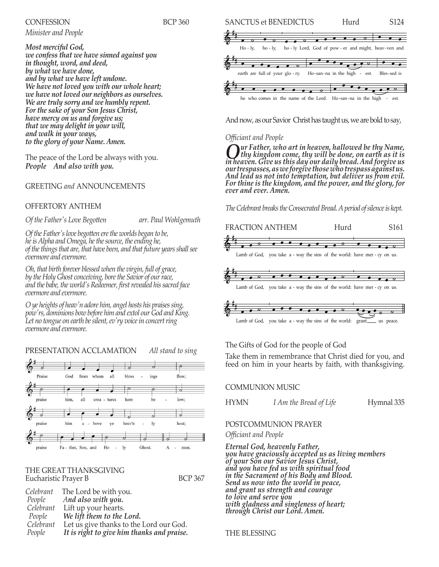# CONFESSION BCP 360

*Minister and People*

*Most merciful God, we confess that we have sinned against you in thought, word, and deed, by what we have done, and by what we have left undone. We have not loved you with our whole heart; we have not loved our neighbors as ourselves. We are truly sorry and we humbly repent. For the sake of your Son Jesus Christ, have mercy on us and forgive us; that we may delight in your will, and walk in your ways, to the glory of your Name. Amen.*

The peace of the Lord be always with you. *People And also with you.*

GREETING *and* ANNOUNCEMENTS

# OFFERTORY ANTHEM

*Of the Father's Love Begotten arr. Paul Wohlgemuth*

*Of the Father's love begotten ere the worlds began to be, he is Alpha and Omega, he the source, the ending he, of the things that are, that have been, and that future years shall see evermore and evermore.*

*Oh, that birth forever blessed when the virgin, full of grace, by the Holy Ghost conceiving, bore the Savior of our race, and the babe, the world's Redeemer, first revealed his sacred face evermore and evermore.*

*O ye heights of heav'n adore him, angel hosts his praises sing, pow'rs, dominions bow before him and extol our God and King. Let no tongue on earth be silent, ev'ry voice in concert ring evermore and evermore.*

PRESENTATION ACCLAMATION *All stand to sing*



# THE GREAT THANKSGIVING Eucharistic Prayer B BCP 367

| Celebrant | The Lord be with you.                      |
|-----------|--------------------------------------------|
| People    | And also with you.                         |
| Celebrant | Lift up your hearts.                       |
| People    | We lift them to the Lord.                  |
| Celebrant | Let us give thanks to the Lord our God.    |
| People    | It is right to give him thanks and praise. |

|           | <b>SANCTUS et BENEDICTUS</b>   | Hurd                                                           | S124        |
|-----------|--------------------------------|----------------------------------------------------------------|-------------|
|           |                                |                                                                |             |
| $Ho - ly$ |                                | ho - ly, ho - ly Lord, God of pow - er and might, heav-ven and |             |
|           | earth are full of your glo-ry. | Ho-san-na in the high - est.                                   | Bles-sed is |
|           |                                | he who comes in the name of the Lord. Ho-san-na in the high    | est.        |

And now, as our Savior Christ has taught us, we are bold to say,

# *Officiant and People*

*Our Father, who art in heaven, hallowed be thy Name, thy kingdom come, thy will be done, on earth as it is in heaven. Give us this day our daily bread. And forgive us our trespasses, as we forgive those who trespass against us. And lead us not into temptation, but deliver us from evil. For thine is the kingdom, and the power, and the glory, for ever and ever. Amen.*

*The Celebrant breaks the Consecrated Bread. A period of silence is kept.*

| <b>FRACTION ANTHEM</b>                                                    |  |  | Hurd |        | S161        |
|---------------------------------------------------------------------------|--|--|------|--------|-------------|
|                                                                           |  |  |      |        |             |
| Lamb of God, you take a - way the sins of the world: have mer - cy on us. |  |  |      |        |             |
|                                                                           |  |  |      |        |             |
|                                                                           |  |  |      |        |             |
| Lamb of God, you take a - way the sins of the world: have mer - cy on us. |  |  |      |        |             |
|                                                                           |  |  |      |        |             |
|                                                                           |  |  |      |        |             |
| Lamb of God, you take a - way the sins of the world:                      |  |  |      | grant_ | _ us peace. |

# The Gifts of God for the people of God

Take them in remembrance that Christ died for you, and feed on him in your hearts by faith, with thanksgiving.

# COMMUNION MUSIC

| <b>HYMN</b> | I Am the Bread of Life | Hymnal 335 |
|-------------|------------------------|------------|
|-------------|------------------------|------------|

# POSTCOMMUNION PRAYER

## *Officiant and People*

*Eternal God, heavenly Father, you have graciously accepted us as living members of your Son our Savior Jesus Christ, and you have fed us with spiritual food in the Sacrament of his Body and Blood. Send us now into the world in peace, and grant us strength and courage to love and serve you with gladness and singleness of heart; through Christ our Lord. Amen.*

# THE BLESSING